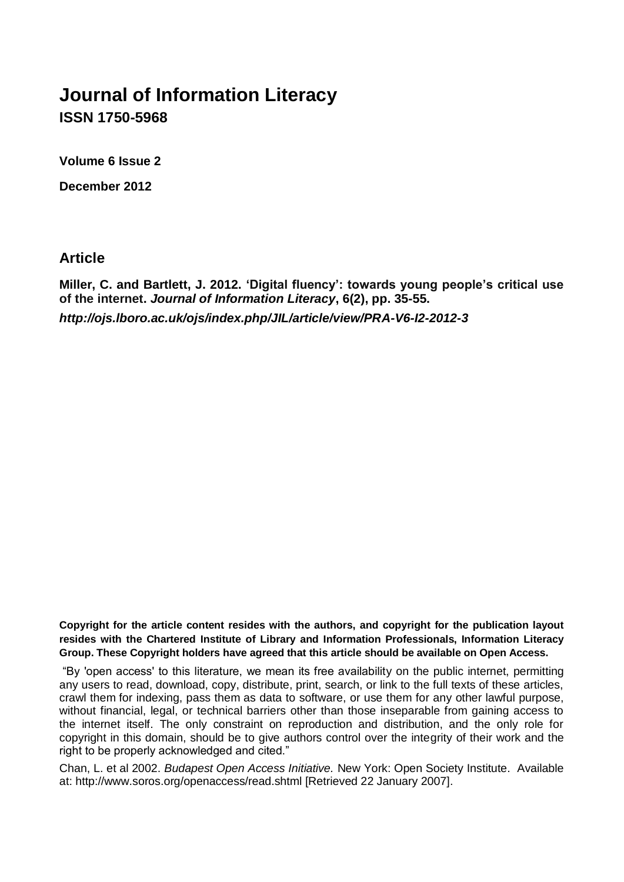# **Journal of Information Literacy ISSN 1750-5968**

**Volume 6 Issue 2**

**December 2012**

**Article**

**Miller, C. and Bartlett, J. 2012. 'Digital fluency': towards young people's critical use of the internet.** *Journal of Information Literacy***, 6(2), pp. 35-55.** *http://ojs.lboro.ac.uk/ojs/index.php/JIL/article/view/PRA-V6-I2-2012-3*

**Copyright for the article content resides with the authors, and copyright for the publication layout resides with the Chartered Institute of Library and Information Professionals, Information Literacy Group. These Copyright holders have agreed that this article should be available on Open Access.**

"By 'open access' to this literature, we mean its free availability on the public internet, permitting any users to read, download, copy, distribute, print, search, or link to the full texts of these articles, crawl them for indexing, pass them as data to software, or use them for any other lawful purpose, without financial, legal, or technical barriers other than those inseparable from gaining access to the internet itself. The only constraint on reproduction and distribution, and the only role for copyright in this domain, should be to give authors control over the integrity of their work and the right to be properly acknowledged and cited."

Chan, L. et al 2002. *Budapest Open Access Initiative.* New York: Open Society Institute. Available at: http://www.soros.org/openaccess/read.shtml [Retrieved 22 January 2007].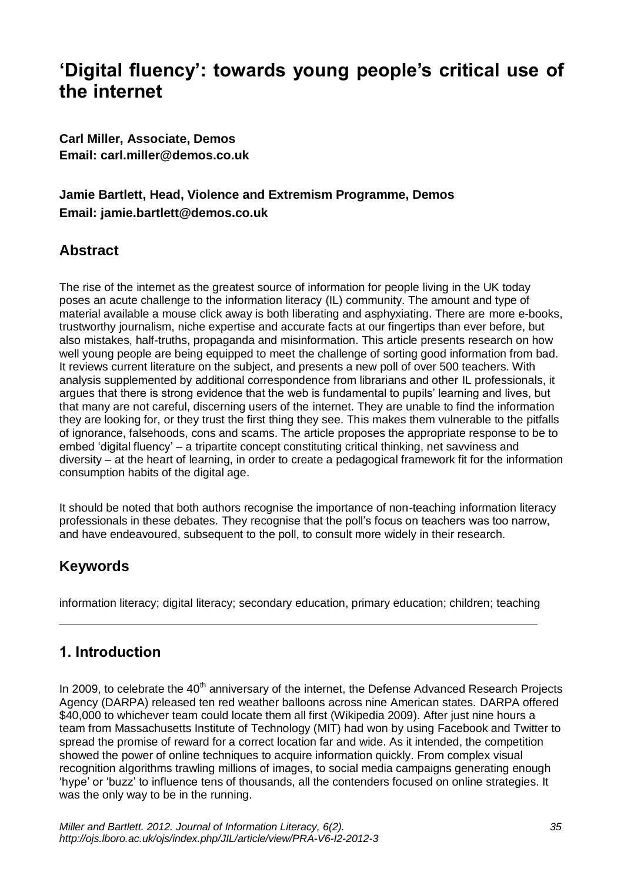# **'Digital fluency': towards young people's critical use of the internet**

**Carl Miller, Associate, Demos Email: carl.miller@demos.co.uk**

# **Jamie Bartlett, Head, Violence and Extremism Programme, Demos Email: jamie.bartlett@demos.co.uk**

## **Abstract**

The rise of the internet as the greatest source of information for people living in the UK today poses an acute challenge to the information literacy (IL) community. The amount and type of material available a mouse click away is both liberating and asphyxiating. There are more e-books, trustworthy journalism, niche expertise and accurate facts at our fingertips than ever before, but also mistakes, half-truths, propaganda and misinformation. This article presents research on how well young people are being equipped to meet the challenge of sorting good information from bad. It reviews current literature on the subject, and presents a new poll of over 500 teachers. With analysis supplemented by additional correspondence from librarians and other IL professionals, it argues that there is strong evidence that the web is fundamental to pupils' learning and lives, but that many are not careful, discerning users of the internet. They are unable to find the information they are looking for, or they trust the first thing they see. This makes them vulnerable to the pitfalls of ignorance, falsehoods, cons and scams. The article proposes the appropriate response to be to embed 'digital fluency' – a tripartite concept constituting critical thinking, net savviness and diversity – at the heart of learning, in order to create a pedagogical framework fit for the information consumption habits of the digital age.

It should be noted that both authors recognise the importance of non-teaching information literacy professionals in these debates. They recognise that the poll's focus on teachers was too narrow, and have endeavoured, subsequent to the poll, to consult more widely in their research.

# **Keywords**

information literacy; digital literacy; secondary education, primary education; children; teaching

# **1. Introduction**

In 2009, to celebrate the  $40<sup>th</sup>$  anniversary of the internet, the Defense Advanced Research Projects Agency (DARPA) released ten red weather balloons across nine American states. DARPA offered \$40,000 to whichever team could locate them all first (Wikipedia 2009). After just nine hours a team from Massachusetts Institute of Technology (MIT) had won by using Facebook and Twitter to spread the promise of reward for a correct location far and wide. As it intended, the competition showed the power of online techniques to acquire information quickly. From complex visual recognition algorithms trawling millions of images, to social media campaigns generating enough 'hype' or 'buzz' to influence tens of thousands, all the contenders focused on online strategies. It was the only way to be in the running.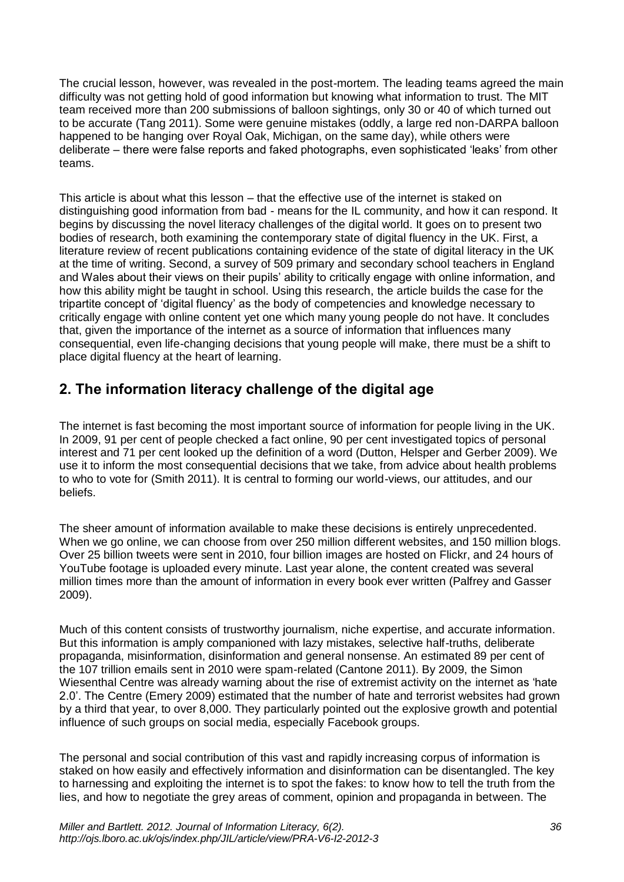The crucial lesson, however, was revealed in the post-mortem. The leading teams agreed the main difficulty was not getting hold of good information but knowing what information to trust. The MIT team received more than 200 submissions of balloon sightings, only 30 or 40 of which turned out to be accurate (Tang 2011). Some were genuine mistakes (oddly, a large red non-DARPA balloon happened to be hanging over Royal Oak, Michigan, on the same day), while others were deliberate – there were false reports and faked photographs, even sophisticated 'leaks' from other teams.

This article is about what this lesson – that the effective use of the internet is staked on distinguishing good information from bad - means for the IL community, and how it can respond. It begins by discussing the novel literacy challenges of the digital world. It goes on to present two bodies of research, both examining the contemporary state of digital fluency in the UK. First, a literature review of recent publications containing evidence of the state of digital literacy in the UK at the time of writing. Second, a survey of 509 primary and secondary school teachers in England and Wales about their views on their pupils' ability to critically engage with online information, and how this ability might be taught in school. Using this research, the article builds the case for the tripartite concept of 'digital fluency' as the body of competencies and knowledge necessary to critically engage with online content yet one which many young people do not have. It concludes that, given the importance of the internet as a source of information that influences many consequential, even life-changing decisions that young people will make, there must be a shift to place digital fluency at the heart of learning.

# **2. The information literacy challenge of the digital age**

The internet is fast becoming the most important source of information for people living in the UK. In 2009, 91 per cent of people checked a fact online, 90 per cent investigated topics of personal interest and 71 per cent looked up the definition of a word (Dutton, Helsper and Gerber 2009). We use it to inform the most consequential decisions that we take, from advice about health problems to who to vote for (Smith 2011). It is central to forming our world-views, our attitudes, and our beliefs.

The sheer amount of information available to make these decisions is entirely unprecedented. When we go online, we can choose from over 250 million different websites, and 150 million blogs. Over 25 billion tweets were sent in 2010, four billion images are hosted on Flickr, and 24 hours of YouTube footage is uploaded every minute. Last year alone, the content created was several million times more than the amount of information in every book ever written (Palfrey and Gasser 2009).

Much of this content consists of trustworthy journalism, niche expertise, and accurate information. But this information is amply companioned with lazy mistakes, selective half-truths, deliberate propaganda, misinformation, disinformation and general nonsense. An estimated 89 per cent of the 107 trillion emails sent in 2010 were spam-related (Cantone 2011). By 2009, the Simon Wiesenthal Centre was already warning about the rise of extremist activity on the internet as 'hate 2.0'. The Centre (Emery 2009) estimated that the number of hate and terrorist websites had grown by a third that year, to over 8,000. They particularly pointed out the explosive growth and potential influence of such groups on social media, especially Facebook groups.

The personal and social contribution of this vast and rapidly increasing corpus of information is staked on how easily and effectively information and disinformation can be disentangled. The key to harnessing and exploiting the internet is to spot the fakes: to know how to tell the truth from the lies, and how to negotiate the grey areas of comment, opinion and propaganda in between. The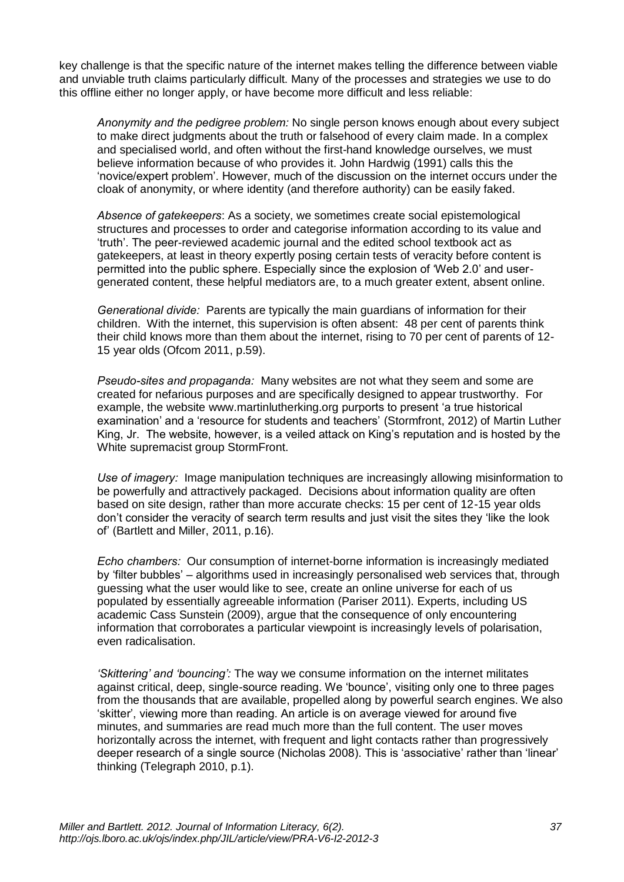key challenge is that the specific nature of the internet makes telling the difference between viable and unviable truth claims particularly difficult. Many of the processes and strategies we use to do this offline either no longer apply, or have become more difficult and less reliable:

*Anonymity and the pedigree problem:* No single person knows enough about every subject to make direct judgments about the truth or falsehood of every claim made. In a complex and specialised world, and often without the first-hand knowledge ourselves, we must believe information because of who provides it. John Hardwig (1991) calls this the 'novice/expert problem'. However, much of the discussion on the internet occurs under the cloak of anonymity, or where identity (and therefore authority) can be easily faked.

*Absence of gatekeepers*: As a society, we sometimes create social epistemological structures and processes to order and categorise information according to its value and 'truth'. The peer-reviewed academic journal and the edited school textbook act as gatekeepers, at least in theory expertly posing certain tests of veracity before content is permitted into the public sphere. Especially since the explosion of 'Web 2.0' and usergenerated content, these helpful mediators are, to a much greater extent, absent online.

*Generational divide:* Parents are typically the main guardians of information for their children. With the internet, this supervision is often absent: 48 per cent of parents think their child knows more than them about the internet, rising to 70 per cent of parents of 12- 15 year olds (Ofcom 2011, p.59).

*Pseudo-sites and propaganda:* Many websites are not what they seem and some are created for nefarious purposes and are specifically designed to appear trustworthy. For example, the website www.martinlutherking.org purports to present 'a true historical examination' and a 'resource for students and teachers' (Stormfront, 2012) of Martin Luther King, Jr. The website, however, is a veiled attack on King's reputation and is hosted by the White supremacist group StormFront.

*Use of imagery:* Image manipulation techniques are increasingly allowing misinformation to be powerfully and attractively packaged. Decisions about information quality are often based on site design, rather than more accurate checks: 15 per cent of 12-15 year olds don't consider the veracity of search term results and just visit the sites they 'like the look of' (Bartlett and Miller, 2011, p.16).

*Echo chambers:* Our consumption of internet-borne information is increasingly mediated by 'filter bubbles' – algorithms used in increasingly personalised web services that, through guessing what the user would like to see, create an online universe for each of us populated by essentially agreeable information (Pariser 2011). Experts, including US academic Cass Sunstein (2009), argue that the consequence of only encountering information that corroborates a particular viewpoint is increasingly levels of polarisation, even radicalisation.

*'Skittering' and 'bouncing':* The way we consume information on the internet militates against critical, deep, single-source reading. We 'bounce', visiting only one to three pages from the thousands that are available, propelled along by powerful search engines. We also 'skitter', viewing more than reading. An article is on average viewed for around five minutes, and summaries are read much more than the full content. The user moves horizontally across the internet, with frequent and light contacts rather than progressively deeper research of a single source (Nicholas 2008). This is 'associative' rather than 'linear' thinking (Telegraph 2010, p.1).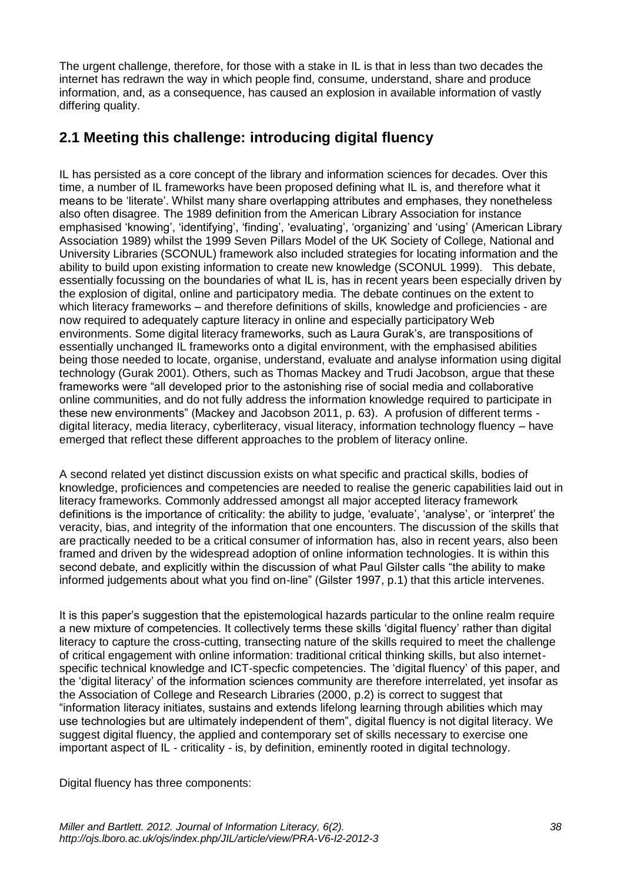The urgent challenge, therefore, for those with a stake in IL is that in less than two decades the internet has redrawn the way in which people find, consume, understand, share and produce information, and, as a consequence, has caused an explosion in available information of vastly differing quality.

# **2.1 Meeting this challenge: introducing digital fluency**

IL has persisted as a core concept of the library and information sciences for decades. Over this time, a number of IL frameworks have been proposed defining what IL is, and therefore what it means to be 'literate'. Whilst many share overlapping attributes and emphases, they nonetheless also often disagree. The 1989 definition from the American Library Association for instance emphasised 'knowing', 'identifying', 'finding', 'evaluating', 'organizing' and 'using' (American Library Association 1989) whilst the 1999 Seven Pillars Model of the UK Society of College, National and University Libraries (SCONUL) framework also included strategies for locating information and the ability to build upon existing information to create new knowledge (SCONUL 1999). This debate, essentially focussing on the boundaries of what IL is, has in recent years been especially driven by the explosion of digital, online and participatory media. The debate continues on the extent to which literacy frameworks – and therefore definitions of skills, knowledge and proficiencies - are now required to adequately capture literacy in online and especially participatory Web environments. Some digital literacy frameworks, such as Laura Gurak's, are transpositions of essentially unchanged IL frameworks onto a digital environment, with the emphasised abilities being those needed to locate, organise, understand, evaluate and analyse information using digital technology (Gurak 2001). Others, such as Thomas Mackey and Trudi Jacobson, argue that these frameworks were "all developed prior to the astonishing rise of social media and collaborative online communities, and do not fully address the information knowledge required to participate in these new environments" (Mackey and Jacobson 2011, p. 63). A profusion of different terms digital literacy, media literacy, cyberliteracy, visual literacy, information technology fluency – have emerged that reflect these different approaches to the problem of literacy online.

A second related yet distinct discussion exists on what specific and practical skills, bodies of knowledge, proficiences and competencies are needed to realise the generic capabilities laid out in literacy frameworks. Commonly addressed amongst all major accepted literacy framework definitions is the importance of criticality: the ability to judge, 'evaluate', 'analyse', or 'interpret' the veracity, bias, and integrity of the information that one encounters. The discussion of the skills that are practically needed to be a critical consumer of information has, also in recent years, also been framed and driven by the widespread adoption of online information technologies. It is within this second debate, and explicitly within the discussion of what Paul Gilster calls "the ability to make informed judgements about what you find on-line" (Gilster 1997, p.1) that this article intervenes.

It is this paper's suggestion that the epistemological hazards particular to the online realm require a new mixture of competencies. It collectively terms these skills 'digital fluency' rather than digital literacy to capture the cross-cutting, transecting nature of the skills required to meet the challenge of critical engagement with online information: traditional critical thinking skills, but also internetspecific technical knowledge and ICT-specfic competencies. The 'digital fluency' of this paper, and the 'digital literacy' of the information sciences community are therefore interrelated, yet insofar as the Association of College and Research Libraries (2000, p.2) is correct to suggest that "information literacy initiates, sustains and extends lifelong learning through abilities which may use technologies but are ultimately independent of them", digital fluency is not digital literacy. We suggest digital fluency, the applied and contemporary set of skills necessary to exercise one important aspect of IL - criticality - is, by definition, eminently rooted in digital technology.

Digital fluency has three components: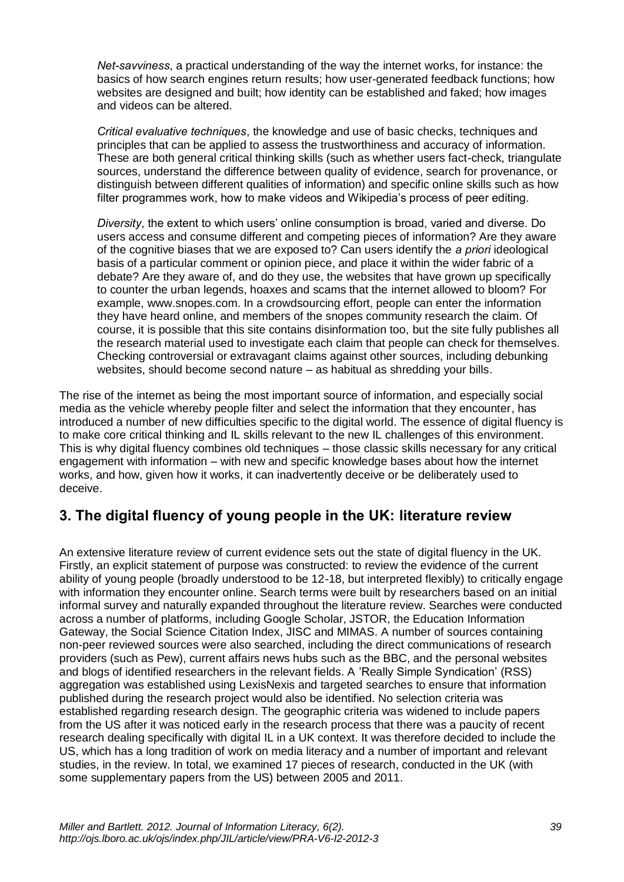*Net-savviness*, a practical understanding of the way the internet works, for instance: the basics of how search engines return results; how user-generated feedback functions; how websites are designed and built; how identity can be established and faked; how images and videos can be altered.

*Critical evaluative techniques*, the knowledge and use of basic checks, techniques and principles that can be applied to assess the trustworthiness and accuracy of information. These are both general critical thinking skills (such as whether users fact-check, triangulate sources, understand the difference between quality of evidence, search for provenance, or distinguish between different qualities of information) and specific online skills such as how filter programmes work, how to make videos and Wikipedia's process of peer editing.

*Diversity*, the extent to which users' online consumption is broad, varied and diverse. Do users access and consume different and competing pieces of information? Are they aware of the cognitive biases that we are exposed to? Can users identify the *a priori* ideological basis of a particular comment or opinion piece, and place it within the wider fabric of a debate? Are they aware of, and do they use, the websites that have grown up specifically to counter the urban legends, hoaxes and scams that the internet allowed to bloom? For example, www.snopes.com. In a crowdsourcing effort, people can enter the information they have heard online, and members of the snopes community research the claim. Of course, it is possible that this site contains disinformation too, but the site fully publishes all the research material used to investigate each claim that people can check for themselves. Checking controversial or extravagant claims against other sources, including debunking websites, should become second nature – as habitual as shredding your bills.

The rise of the internet as being the most important source of information, and especially social media as the vehicle whereby people filter and select the information that they encounter, has introduced a number of new difficulties specific to the digital world. The essence of digital fluency is to make core critical thinking and IL skills relevant to the new IL challenges of this environment. This is why digital fluency combines old techniques – those classic skills necessary for any critical engagement with information – with new and specific knowledge bases about how the internet works, and how, given how it works, it can inadvertently deceive or be deliberately used to deceive.

# **3. The digital fluency of young people in the UK: literature review**

An extensive literature review of current evidence sets out the state of digital fluency in the UK. Firstly, an explicit statement of purpose was constructed: to review the evidence of the current ability of young people (broadly understood to be 12-18, but interpreted flexibly) to critically engage with information they encounter online. Search terms were built by researchers based on an initial informal survey and naturally expanded throughout the literature review. Searches were conducted across a number of platforms, including Google Scholar, JSTOR, the Education Information Gateway, the Social Science Citation Index, JISC and MIMAS. A number of sources containing non-peer reviewed sources were also searched, including the direct communications of research providers (such as Pew), current affairs news hubs such as the BBC, and the personal websites and blogs of identified researchers in the relevant fields. A 'Really Simple Syndication' (RSS) aggregation was established using LexisNexis and targeted searches to ensure that information published during the research project would also be identified. No selection criteria was established regarding research design. The geographic criteria was widened to include papers from the US after it was noticed early in the research process that there was a paucity of recent research dealing specifically with digital IL in a UK context. It was therefore decided to include the US, which has a long tradition of work on media literacy and a number of important and relevant studies, in the review. In total, we examined 17 pieces of research, conducted in the UK (with some supplementary papers from the US) between 2005 and 2011.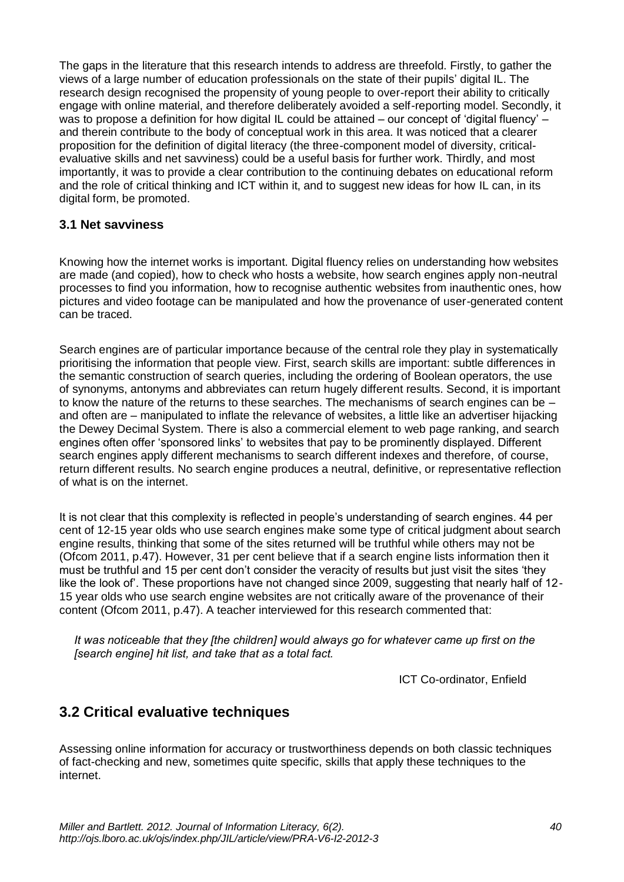The gaps in the literature that this research intends to address are threefold. Firstly, to gather the views of a large number of education professionals on the state of their pupils' digital IL. The research design recognised the propensity of young people to over-report their ability to critically engage with online material, and therefore deliberately avoided a self-reporting model. Secondly, it was to propose a definition for how digital IL could be attained – our concept of 'digital fluency' – and therein contribute to the body of conceptual work in this area. It was noticed that a clearer proposition for the definition of digital literacy (the three-component model of diversity, criticalevaluative skills and net savviness) could be a useful basis for further work. Thirdly, and most importantly, it was to provide a clear contribution to the continuing debates on educational reform and the role of critical thinking and ICT within it, and to suggest new ideas for how IL can, in its digital form, be promoted.

#### **3.1 Net savviness**

Knowing how the internet works is important. Digital fluency relies on understanding how websites are made (and copied), how to check who hosts a website, how search engines apply non-neutral processes to find you information, how to recognise authentic websites from inauthentic ones, how pictures and video footage can be manipulated and how the provenance of user-generated content can be traced.

Search engines are of particular importance because of the central role they play in systematically prioritising the information that people view. First, search skills are important: subtle differences in the semantic construction of search queries, including the ordering of Boolean operators, the use of synonyms, antonyms and abbreviates can return hugely different results. Second, it is important to know the nature of the returns to these searches. The mechanisms of search engines can be – and often are – manipulated to inflate the relevance of websites, a little like an advertiser hijacking the Dewey Decimal System. There is also a commercial element to web page ranking, and search engines often offer 'sponsored links' to websites that pay to be prominently displayed. Different search engines apply different mechanisms to search different indexes and therefore, of course, return different results. No search engine produces a neutral, definitive, or representative reflection of what is on the internet.

It is not clear that this complexity is reflected in people's understanding of search engines. 44 per cent of 12-15 year olds who use search engines make some type of critical judgment about search engine results, thinking that some of the sites returned will be truthful while others may not be (Ofcom 2011, p.47). However, 31 per cent believe that if a search engine lists information then it must be truthful and 15 per cent don't consider the veracity of results but just visit the sites 'they like the look of'. These proportions have not changed since 2009, suggesting that nearly half of 12- 15 year olds who use search engine websites are not critically aware of the provenance of their content (Ofcom 2011, p.47). A teacher interviewed for this research commented that:

*It was noticeable that they [the children] would always go for whatever came up first on the [search engine] hit list, and take that as a total fact.*

ICT Co-ordinator, Enfield

# **3.2 Critical evaluative techniques**

Assessing online information for accuracy or trustworthiness depends on both classic techniques of fact-checking and new, sometimes quite specific, skills that apply these techniques to the internet.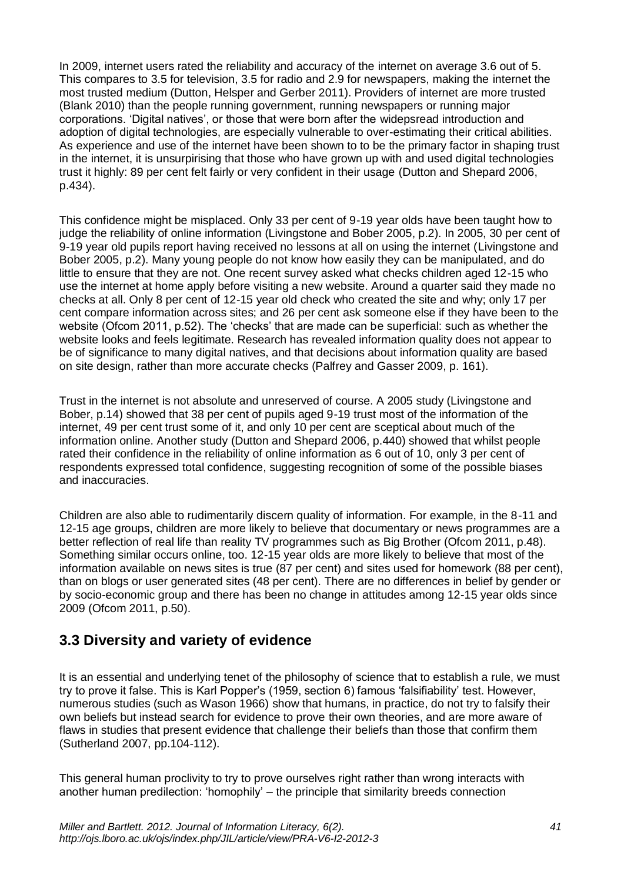In 2009, internet users rated the reliability and accuracy of the internet on average 3.6 out of 5. This compares to 3.5 for television, 3.5 for radio and 2.9 for newspapers, making the internet the most trusted medium (Dutton, Helsper and Gerber 2011). Providers of internet are more trusted (Blank 2010) than the people running government, running newspapers or running major corporations. 'Digital natives', or those that were born after the widepsread introduction and adoption of digital technologies, are especially vulnerable to over-estimating their critical abilities. As experience and use of the internet have been shown to to be the primary factor in shaping trust in the internet, it is unsurpirising that those who have grown up with and used digital technologies trust it highly: 89 per cent felt fairly or very confident in their usage (Dutton and Shepard 2006, p.434).

This confidence might be misplaced. Only 33 per cent of 9-19 year olds have been taught how to judge the reliability of online information (Livingstone and Bober 2005, p.2). In 2005, 30 per cent of 9-19 year old pupils report having received no lessons at all on using the internet (Livingstone and Bober 2005, p.2). Many young people do not know how easily they can be manipulated, and do little to ensure that they are not. One recent survey asked what checks children aged 12-15 who use the internet at home apply before visiting a new website. Around a quarter said they made no checks at all. Only 8 per cent of 12-15 year old check who created the site and why; only 17 per cent compare information across sites; and 26 per cent ask someone else if they have been to the website (Ofcom 2011, p.52). The 'checks' that are made can be superficial: such as whether the website looks and feels legitimate. Research has revealed information quality does not appear to be of significance to many digital natives, and that decisions about information quality are based on site design, rather than more accurate checks (Palfrey and Gasser 2009, p. 161).

Trust in the internet is not absolute and unreserved of course. A 2005 study (Livingstone and Bober, p.14) showed that 38 per cent of pupils aged 9-19 trust most of the information of the internet, 49 per cent trust some of it, and only 10 per cent are sceptical about much of the information online. Another study (Dutton and Shepard 2006, p.440) showed that whilst people rated their confidence in the reliability of online information as 6 out of 10, only 3 per cent of respondents expressed total confidence, suggesting recognition of some of the possible biases and inaccuracies.

Children are also able to rudimentarily discern quality of information. For example, in the 8-11 and 12-15 age groups, children are more likely to believe that documentary or news programmes are a better reflection of real life than reality TV programmes such as Big Brother (Ofcom 2011, p.48). Something similar occurs online, too. 12-15 year olds are more likely to believe that most of the information available on news sites is true (87 per cent) and sites used for homework (88 per cent), than on blogs or user generated sites (48 per cent). There are no differences in belief by gender or by socio-economic group and there has been no change in attitudes among 12-15 year olds since 2009 (Ofcom 2011, p.50).

# **3.3 Diversity and variety of evidence**

It is an essential and underlying tenet of the philosophy of science that to establish a rule, we must try to prove it false. This is Karl Popper's (1959, section 6) famous 'falsifiability' test. However, numerous studies (such as Wason 1966) show that humans, in practice, do not try to falsify their own beliefs but instead search for evidence to prove their own theories, and are more aware of flaws in studies that present evidence that challenge their beliefs than those that confirm them (Sutherland 2007, pp.104-112).

This general human proclivity to try to prove ourselves right rather than wrong interacts with another human predilection: 'homophily' – the principle that similarity breeds connection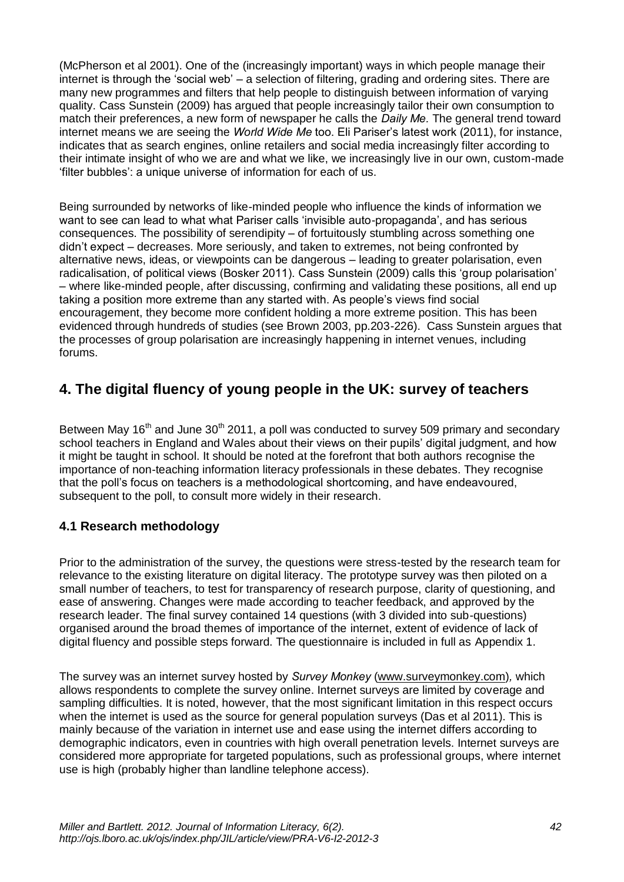(McPherson et al 2001). One of the (increasingly important) ways in which people manage their internet is through the 'social web' – a selection of filtering, grading and ordering sites. There are many new programmes and filters that help people to distinguish between information of varying quality. Cass Sunstein (2009) has argued that people increasingly tailor their own consumption to match their preferences, a new form of newspaper he calls the *Daily Me.* The general trend toward internet means we are seeing the *World Wide Me* too. Eli Pariser's latest work (2011), for instance, indicates that as search engines, online retailers and social media increasingly filter according to their intimate insight of who we are and what we like, we increasingly live in our own, custom-made 'filter bubbles': a unique universe of information for each of us.

Being surrounded by networks of like-minded people who influence the kinds of information we want to see can lead to what what Pariser calls 'invisible auto-propaganda', and has serious consequences. The possibility of serendipity – of fortuitously stumbling across something one didn't expect – decreases. More seriously, and taken to extremes, not being confronted by alternative news, ideas, or viewpoints can be dangerous – leading to greater polarisation, even radicalisation, of political views (Bosker 2011). Cass Sunstein (2009) calls this 'group polarisation' – where like-minded people, after discussing, confirming and validating these positions, all end up taking a position more extreme than any started with. As people's views find social encouragement, they become more confident holding a more extreme position. This has been evidenced through hundreds of studies (see Brown 2003, pp.203-226). Cass Sunstein argues that the processes of group polarisation are increasingly happening in internet venues, including forums.

# **4. The digital fluency of young people in the UK: survey of teachers**

Between May 16<sup>th</sup> and June 30<sup>th</sup> 2011, a poll was conducted to survey 509 primary and secondary school teachers in England and Wales about their views on their pupils' digital judgment, and how it might be taught in school. It should be noted at the forefront that both authors recognise the importance of non-teaching information literacy professionals in these debates. They recognise that the poll's focus on teachers is a methodological shortcoming, and have endeavoured, subsequent to the poll, to consult more widely in their research.

### **4.1 Research methodology**

Prior to the administration of the survey, the questions were stress-tested by the research team for relevance to the existing literature on digital literacy. The prototype survey was then piloted on a small number of teachers, to test for transparency of research purpose, clarity of questioning, and ease of answering. Changes were made according to teacher feedback, and approved by the research leader. The final survey contained 14 questions (with 3 divided into sub-questions) organised around the broad themes of importance of the internet, extent of evidence of lack of digital fluency and possible steps forward. The questionnaire is included in full as Appendix 1.

The survey was an internet survey hosted by *Survey Monkey* (www.surveymonkey.com)*,* which allows respondents to complete the survey online. Internet surveys are limited by coverage and sampling difficulties. It is noted, however, that the most significant limitation in this respect occurs when the internet is used as the source for general population surveys (Das et al 2011). This is mainly because of the variation in internet use and ease using the internet differs according to demographic indicators, even in countries with high overall penetration levels. Internet surveys are considered more appropriate for targeted populations, such as professional groups, where internet use is high (probably higher than landline telephone access).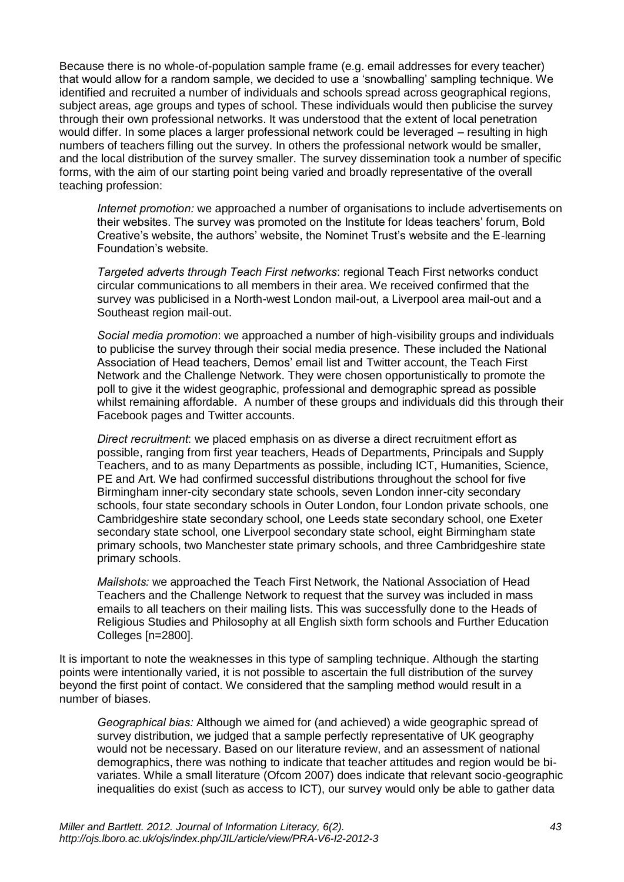Because there is no whole-of-population sample frame (e.g. email addresses for every teacher) that would allow for a random sample, we decided to use a 'snowballing' sampling technique. We identified and recruited a number of individuals and schools spread across geographical regions, subject areas, age groups and types of school. These individuals would then publicise the survey through their own professional networks. It was understood that the extent of local penetration would differ. In some places a larger professional network could be leveraged – resulting in high numbers of teachers filling out the survey. In others the professional network would be smaller, and the local distribution of the survey smaller. The survey dissemination took a number of specific forms, with the aim of our starting point being varied and broadly representative of the overall teaching profession:

*Internet promotion:* we approached a number of organisations to include advertisements on their websites. The survey was promoted on the Institute for Ideas teachers' forum, Bold Creative's website, the authors' website, the Nominet Trust's website and the E-learning Foundation's website.

*Targeted adverts through Teach First networks*: regional Teach First networks conduct circular communications to all members in their area. We received confirmed that the survey was publicised in a North-west London mail-out, a Liverpool area mail-out and a Southeast region mail-out.

*Social media promotion*: we approached a number of high-visibility groups and individuals to publicise the survey through their social media presence. These included the National Association of Head teachers, Demos' email list and Twitter account, the Teach First Network and the Challenge Network. They were chosen opportunistically to promote the poll to give it the widest geographic, professional and demographic spread as possible whilst remaining affordable.A number of these groups and individuals did this through their Facebook pages and Twitter accounts.

*Direct recruitment*: we placed emphasis on as diverse a direct recruitment effort as possible, ranging from first year teachers, Heads of Departments, Principals and Supply Teachers, and to as many Departments as possible, including ICT, Humanities, Science, PE and Art. We had confirmed successful distributions throughout the school for five Birmingham inner-city secondary state schools, seven London inner-city secondary schools, four state secondary schools in Outer London, four London private schools, one Cambridgeshire state secondary school, one Leeds state secondary school, one Exeter secondary state school, one Liverpool secondary state school, eight Birmingham state primary schools, two Manchester state primary schools, and three Cambridgeshire state primary schools.

*Mailshots:* we approached the Teach First Network, the National Association of Head Teachers and the Challenge Network to request that the survey was included in mass emails to all teachers on their mailing lists. This was successfully done to the Heads of Religious Studies and Philosophy at all English sixth form schools and Further Education Colleges [n=2800].

It is important to note the weaknesses in this type of sampling technique. Although the starting points were intentionally varied, it is not possible to ascertain the full distribution of the survey beyond the first point of contact. We considered that the sampling method would result in a number of biases.

*Geographical bias:* Although we aimed for (and achieved) a wide geographic spread of survey distribution, we judged that a sample perfectly representative of UK geography would not be necessary. Based on our literature review, and an assessment of national demographics, there was nothing to indicate that teacher attitudes and region would be bivariates. While a small literature (Ofcom 2007) does indicate that relevant socio-geographic inequalities do exist (such as access to ICT), our survey would only be able to gather data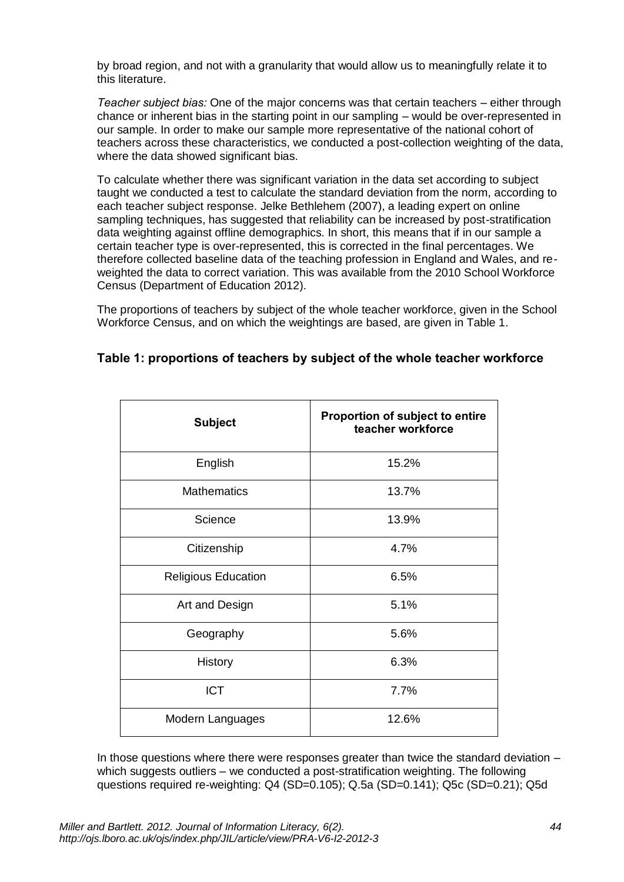by broad region, and not with a granularity that would allow us to meaningfully relate it to this literature.

*Teacher subject bias:* One of the major concerns was that certain teachers – either through chance or inherent bias in the starting point in our sampling – would be over-represented in our sample. In order to make our sample more representative of the national cohort of teachers across these characteristics, we conducted a post-collection weighting of the data, where the data showed significant bias.

To calculate whether there was significant variation in the data set according to subject taught we conducted a test to calculate the standard deviation from the norm, according to each teacher subject response. Jelke Bethlehem (2007), a leading expert on online sampling techniques, has suggested that reliability can be increased by post-stratification data weighting against offline demographics. In short, this means that if in our sample a certain teacher type is over-represented, this is corrected in the final percentages. We therefore collected baseline data of the teaching profession in England and Wales, and reweighted the data to correct variation. This was available from the 2010 School Workforce Census (Department of Education 2012).

The proportions of teachers by subject of the whole teacher workforce, given in the School Workforce Census, and on which the weightings are based, are given in Table 1.

| <b>Subject</b>             | <b>Proportion of subject to entire</b><br>teacher workforce |  |  |
|----------------------------|-------------------------------------------------------------|--|--|
| English                    | 15.2%                                                       |  |  |
| <b>Mathematics</b>         | 13.7%                                                       |  |  |
| Science                    | 13.9%                                                       |  |  |
| Citizenship                | 4.7%                                                        |  |  |
| <b>Religious Education</b> | 6.5%                                                        |  |  |
| Art and Design             | 5.1%                                                        |  |  |
| Geography                  | 5.6%                                                        |  |  |
| History                    | 6.3%                                                        |  |  |
| <b>ICT</b>                 | 7.7%                                                        |  |  |
| Modern Languages           | 12.6%                                                       |  |  |

#### **Table 1: proportions of teachers by subject of the whole teacher workforce**

In those questions where there were responses greater than twice the standard deviation – which suggests outliers – we conducted a post-stratification weighting. The following questions required re-weighting: Q4 (SD=0.105); Q.5a (SD=0.141); Q5c (SD=0.21); Q5d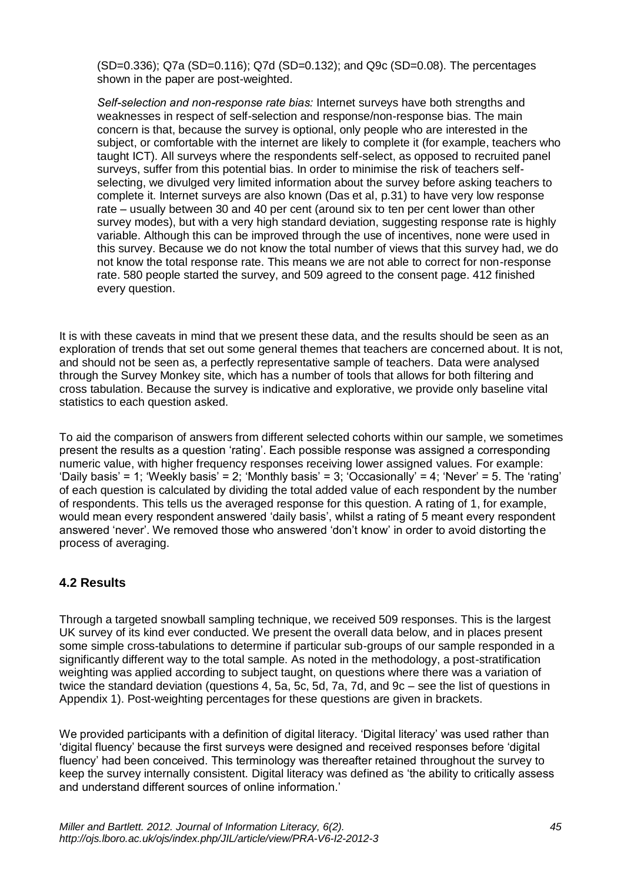(SD=0.336); Q7a (SD=0.116); Q7d (SD=0.132); and Q9c (SD=0.08). The percentages shown in the paper are post-weighted.

*Self-selection and non-response rate bias:* Internet surveys have both strengths and weaknesses in respect of self-selection and response/non-response bias. The main concern is that, because the survey is optional, only people who are interested in the subject, or comfortable with the internet are likely to complete it (for example, teachers who taught ICT). All surveys where the respondents self-select, as opposed to recruited panel surveys, suffer from this potential bias. In order to minimise the risk of teachers selfselecting, we divulged very limited information about the survey before asking teachers to complete it. Internet surveys are also known (Das et al, p.31) to have very low response rate – usually between 30 and 40 per cent (around six to ten per cent lower than other survey modes), but with a very high standard deviation, suggesting response rate is highly variable. Although this can be improved through the use of incentives, none were used in this survey. Because we do not know the total number of views that this survey had, we do not know the total response rate. This means we are not able to correct for non-response rate. 580 people started the survey, and 509 agreed to the consent page. 412 finished every question.

It is with these caveats in mind that we present these data, and the results should be seen as an exploration of trends that set out some general themes that teachers are concerned about. It is not, and should not be seen as, a perfectly representative sample of teachers. Data were analysed through the Survey Monkey site, which has a number of tools that allows for both filtering and cross tabulation. Because the survey is indicative and explorative, we provide only baseline vital statistics to each question asked.

To aid the comparison of answers from different selected cohorts within our sample, we sometimes present the results as a question 'rating'. Each possible response was assigned a corresponding numeric value, with higher frequency responses receiving lower assigned values. For example: 'Daily basis' = 1; 'Weekly basis' = 2; 'Monthly basis' = 3; 'Occasionally' = 4; 'Never' = 5. The 'rating' of each question is calculated by dividing the total added value of each respondent by the number of respondents. This tells us the averaged response for this question. A rating of 1, for example, would mean every respondent answered 'daily basis', whilst a rating of 5 meant every respondent answered 'never'. We removed those who answered 'don't know' in order to avoid distorting the process of averaging.

### **4.2 Results**

Through a targeted snowball sampling technique, we received 509 responses. This is the largest UK survey of its kind ever conducted. We present the overall data below, and in places present some simple cross-tabulations to determine if particular sub-groups of our sample responded in a significantly different way to the total sample. As noted in the methodology, a post-stratification weighting was applied according to subject taught, on questions where there was a variation of twice the standard deviation (questions 4, 5a, 5c, 5d, 7a, 7d, and 9c – see the list of questions in Appendix 1). Post-weighting percentages for these questions are given in brackets.

We provided participants with a definition of digital literacy. 'Digital literacy' was used rather than 'digital fluency' because the first surveys were designed and received responses before 'digital fluency' had been conceived. This terminology was thereafter retained throughout the survey to keep the survey internally consistent. Digital literacy was defined as 'the ability to critically assess and understand different sources of online information.'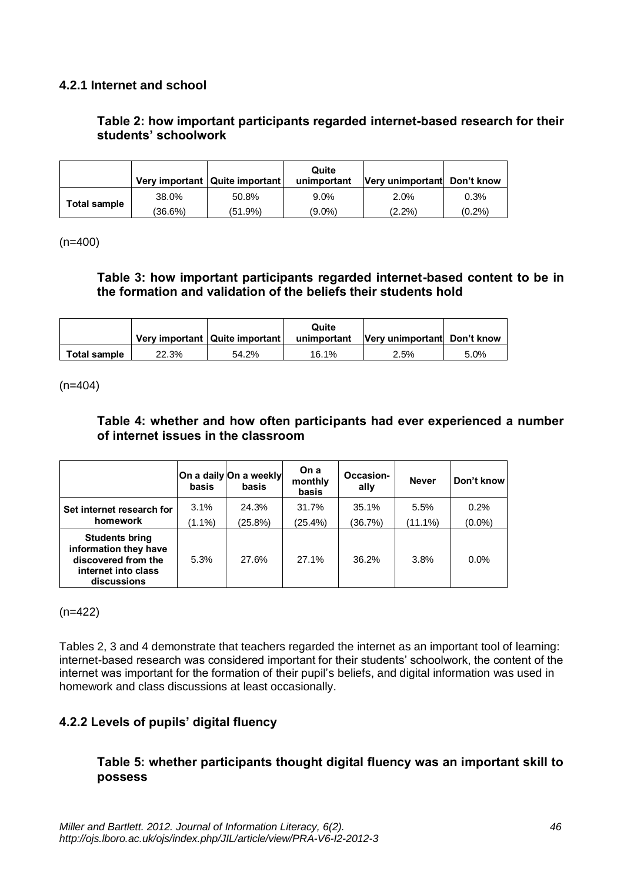### **4.2.1 Internet and school**

### **Table 2: how important participants regarded internet-based research for their students' schoolwork**

|              |         | Very important   Quite important | Quite<br>unimportant | Very unimportant Don't know |       |
|--------------|---------|----------------------------------|----------------------|-----------------------------|-------|
|              | 38.0%   | 50.8%                            | $9.0\%$              | 2.0%                        | 0.3%  |
| Total sample | (36.6%) | (51.9%)                          | $(9.0\%)$            | $(2.2\%)$                   | (0.2% |

(n=400)

#### **Table 3: how important participants regarded internet-based content to be in the formation and validation of the beliefs their students hold**

|              |       | Very important   Quite important | Quite<br>unimportant | Very unimportant Don't know |      |
|--------------|-------|----------------------------------|----------------------|-----------------------------|------|
| Total sample | 22.3% | 54.2%                            | 16.1%                | 2.5%                        | 5.0% |

 $(n=404)$ 

#### **Table 4: whether and how often participants had ever experienced a number of internet issues in the classroom**

|                                                                                                             | basis             | On a daily On a weekly<br>basis | On a<br>monthly<br>basis | Occasion-<br>ally | <b>Never</b>    | Don't know        |
|-------------------------------------------------------------------------------------------------------------|-------------------|---------------------------------|--------------------------|-------------------|-----------------|-------------------|
| Set internet research for<br>homework                                                                       | 3.1%<br>$(1.1\%)$ | 24.3%<br>(25.8%)                | 31.7%<br>(25.4%)         | 35.1%<br>(36.7%)  | 5.5%<br>(11.1%) | 0.2%<br>$(0.0\%)$ |
| <b>Students bring</b><br>information they have<br>discovered from the<br>internet into class<br>discussions | 5.3%              | 27.6%                           | 27.1%                    | 36.2%             | 3.8%            | 0.0%              |

(n=422)

Tables 2, 3 and 4 demonstrate that teachers regarded the internet as an important tool of learning: internet-based research was considered important for their students' schoolwork, the content of the internet was important for the formation of their pupil's beliefs, and digital information was used in homework and class discussions at least occasionally.

### **4.2.2 Levels of pupils' digital fluency**

#### **Table 5: whether participants thought digital fluency was an important skill to possess**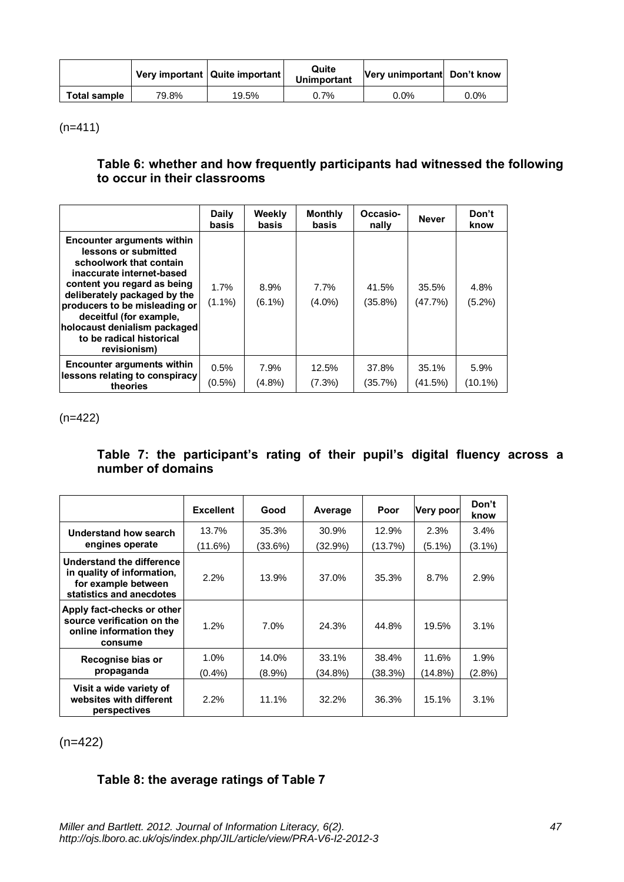|              |       | Very important   Quite important | Quite<br><b>Unimportant</b> | Very unimportant Don't know |         |
|--------------|-------|----------------------------------|-----------------------------|-----------------------------|---------|
| Total sample | 79.8% | 19.5%                            | 0.7%                        | $0.0\%$                     | $0.0\%$ |

 $(n=411)$ 

### **Table 6: whether and how frequently participants had witnessed the following to occur in their classrooms**

|                                                                                                                                                                                                                                                                                                                   | <b>Daily</b><br>basis | Weekly<br>basis   | <b>Monthly</b><br>basis | Occasio-<br>nally   | <b>Never</b>     | Don't<br>know     |
|-------------------------------------------------------------------------------------------------------------------------------------------------------------------------------------------------------------------------------------------------------------------------------------------------------------------|-----------------------|-------------------|-------------------------|---------------------|------------------|-------------------|
| Encounter arguments within<br>lessons or submitted<br>schoolwork that contain<br>inaccurate internet-based<br>content you regard as being<br>deliberately packaged by the<br>producers to be misleading or<br>deceitful (for example,<br>holocaust denialism packaged<br>to be radical historical<br>revisionism) | 1.7%<br>$(1.1\%)$     | 8.9%<br>$(6.1\%)$ | 7.7%<br>$(4.0\%)$       | 41.5%<br>$(35.8\%)$ | 35.5%<br>(47.7%) | 4.8%<br>$(5.2\%)$ |
| Encounter arguments within                                                                                                                                                                                                                                                                                        | 0.5%                  | 7.9%              | 12.5%                   | 37.8%               | 35.1%            | 5.9%              |
| lessons relating to conspiracy<br>theories                                                                                                                                                                                                                                                                        | $(0.5\%)$             | $(4.8\%)$         | (7.3%)                  | (35.7%)             | (41.5%)          | $(10.1\%)$        |

(n=422)

### **Table 7: the participant's rating of their pupil's digital fluency across a number of domains**

|                                                                                                            | <b>Excellent</b> | Good      | Average | Poor    | <b>Very poor</b> | Don't<br>know |
|------------------------------------------------------------------------------------------------------------|------------------|-----------|---------|---------|------------------|---------------|
| Understand how search                                                                                      | 13.7%            | 35.3%     | 30.9%   | 12.9%   | 2.3%             | 3.4%          |
| engines operate                                                                                            | $(11.6\%)$       | (33.6%)   | (32.9%) | (13.7%) | (5.1%)           | $(3.1\%)$     |
| Understand the difference<br>in quality of information,<br>for example between<br>statistics and anecdotes | 2.2%             | 13.9%     | 37.0%   | 35.3%   | 8.7%             | 2.9%          |
| Apply fact-checks or other<br>source verification on the<br>online information they<br>consume             | 1.2%             | $7.0\%$   | 24.3%   | 44.8%   | 19.5%            | 3.1%          |
| Recognise bias or                                                                                          | $1.0\%$          | 14.0%     | 33.1%   | 38.4%   | 11.6%            | 1.9%          |
| propaganda                                                                                                 | $(0.4\%)$        | $(8.9\%)$ | (34.8%) | (38.3%) | (14.8%)          | $(2.8\%)$     |
| Visit a wide variety of<br>websites with different<br>perspectives                                         | $2.2\%$          | 11.1%     | 32.2%   | 36.3%   | 15.1%            | 3.1%          |

(n=422)

### **Table 8: the average ratings of Table 7**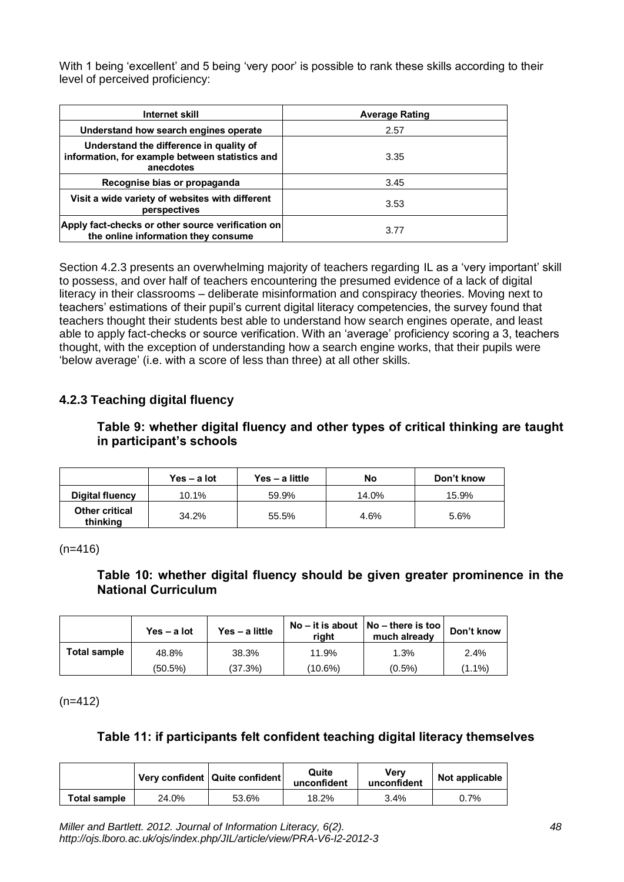With 1 being 'excellent' and 5 being 'very poor' is possible to rank these skills according to their level of perceived proficiency:

| Internet skill                                                                                          | <b>Average Rating</b> |
|---------------------------------------------------------------------------------------------------------|-----------------------|
| Understand how search engines operate                                                                   | 2.57                  |
| Understand the difference in quality of<br>information, for example between statistics and<br>anecdotes | 3.35                  |
| Recognise bias or propaganda                                                                            | 3.45                  |
| Visit a wide variety of websites with different<br>perspectives                                         | 3.53                  |
| Apply fact-checks or other source verification on<br>the online information they consume                | 3.77                  |

Section 4.2.3 presents an overwhelming majority of teachers regarding IL as a 'very important' skill to possess, and over half of teachers encountering the presumed evidence of a lack of digital literacy in their classrooms – deliberate misinformation and conspiracy theories. Moving next to teachers' estimations of their pupil's current digital literacy competencies, the survey found that teachers thought their students best able to understand how search engines operate, and least able to apply fact-checks or source verification. With an 'average' proficiency scoring a 3, teachers thought, with the exception of understanding how a search engine works, that their pupils were 'below average' (i.e. with a score of less than three) at all other skills.

### **4.2.3 Teaching digital fluency**

#### **Table 9: whether digital fluency and other types of critical thinking are taught in participant's schools**

|                                   | Yes – a lot | Yes - a little | No    | Don't know |
|-----------------------------------|-------------|----------------|-------|------------|
| Digital fluency                   | 10.1%       | 59.9%          | 14.0% | 15.9%      |
| <b>Other critical</b><br>thinking | 34.2%       | 55.5%          | 4.6%  | 5.6%       |

(n=416)

#### **Table 10: whether digital fluency should be given greater prominence in the National Curriculum**

|              | Yes $-$ a lot | Yes - a little | right   | No – it is about $ No$ – there is too $ $<br>much already | Don't know |
|--------------|---------------|----------------|---------|-----------------------------------------------------------|------------|
| Total sample | 48.8%         | 38.3%          | 11.9%   | 1.3%                                                      | 2.4%       |
|              | (50.5%)       | (37.3%)        | (10.6%) | $(0.5\%)$                                                 | $(1.1\%)$  |

 $(n=412)$ 

### **Table 11: if participants felt confident teaching digital literacy themselves**

|              |       | Very confident   Quite confident | Quite<br>unconfident | Verv<br>unconfident | Not applicable |
|--------------|-------|----------------------------------|----------------------|---------------------|----------------|
| Total sample | 24.0% | 53.6%                            | 18.2%                | 3.4%                | 0.7%           |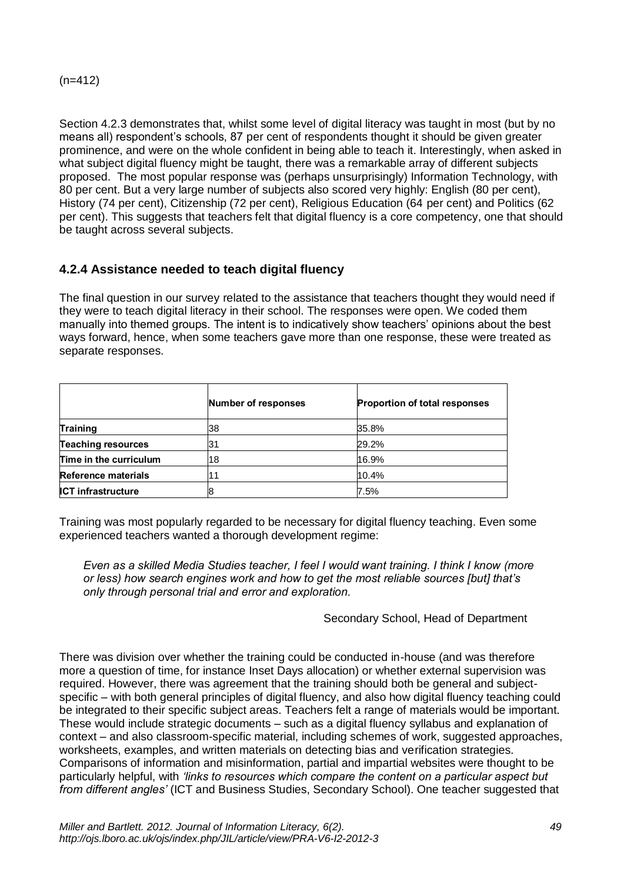Section 4.2.3 demonstrates that, whilst some level of digital literacy was taught in most (but by no means all) respondent's schools, 87 per cent of respondents thought it should be given greater prominence, and were on the whole confident in being able to teach it. Interestingly, when asked in what subject digital fluency might be taught, there was a remarkable array of different subjects proposed. The most popular response was (perhaps unsurprisingly) Information Technology, with 80 per cent. But a very large number of subjects also scored very highly: English (80 per cent), History (74 per cent), Citizenship (72 per cent), Religious Education (64 per cent) and Politics (62 per cent). This suggests that teachers felt that digital fluency is a core competency, one that should be taught across several subjects.

### **4.2.4 Assistance needed to teach digital fluency**

The final question in our survey related to the assistance that teachers thought they would need if they were to teach digital literacy in their school. The responses were open. We coded them manually into themed groups. The intent is to indicatively show teachers' opinions about the best ways forward, hence, when some teachers gave more than one response, these were treated as separate responses.

|                           | <b>Number of responses</b> | <b>Proportion of total responses</b> |
|---------------------------|----------------------------|--------------------------------------|
| <b>Training</b>           | 38                         | 35.8%                                |
| <b>Teaching resources</b> |                            | 29.2%                                |
| Time in the curriculum    | 18                         | 16.9%                                |
| Reference materials       |                            | 10.4%                                |
| <b>ICT infrastructure</b> |                            | 7.5%                                 |

Training was most popularly regarded to be necessary for digital fluency teaching. Even some experienced teachers wanted a thorough development regime:

*Even as a skilled Media Studies teacher, I feel I would want training. I think I know (more or less) how search engines work and how to get the most reliable sources [but] that's only through personal trial and error and exploration.* 

Secondary School, Head of Department

There was division over whether the training could be conducted in-house (and was therefore more a question of time, for instance Inset Days allocation) or whether external supervision was required. However, there was agreement that the training should both be general and subjectspecific – with both general principles of digital fluency, and also how digital fluency teaching could be integrated to their specific subject areas. Teachers felt a range of materials would be important. These would include strategic documents – such as a digital fluency syllabus and explanation of context – and also classroom-specific material, including schemes of work, suggested approaches, worksheets, examples, and written materials on detecting bias and verification strategies. Comparisons of information and misinformation, partial and impartial websites were thought to be particularly helpful, with *'links to resources which compare the content on a particular aspect but from different angles'* (ICT and Business Studies, Secondary School). One teacher suggested that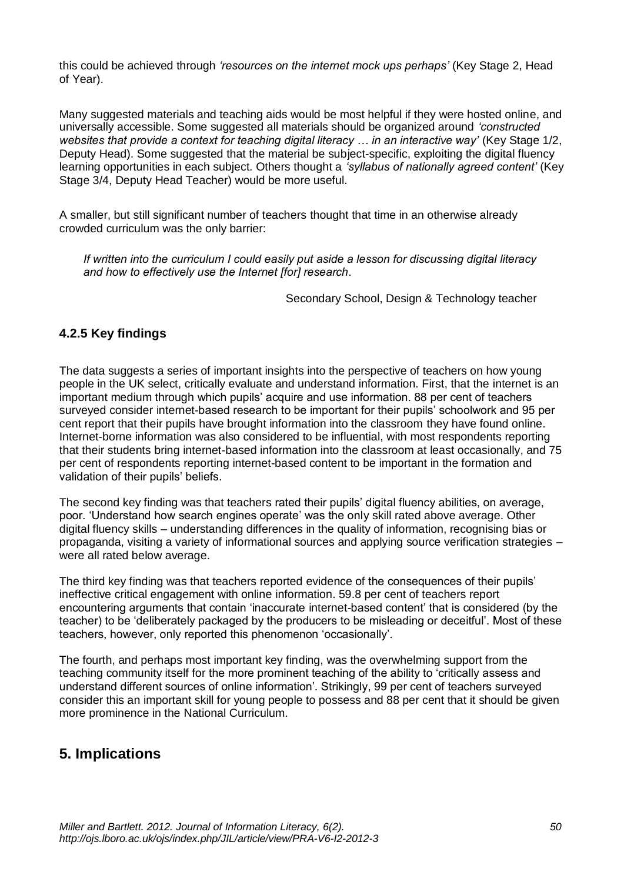this could be achieved through *'resources on the internet mock ups perhaps'* (Key Stage 2, Head of Year).

Many suggested materials and teaching aids would be most helpful if they were hosted online, and universally accessible. Some suggested all materials should be organized around *'constructed websites that provide a context for teaching digital literacy … in an interactive way'* (Key Stage 1/2, Deputy Head). Some suggested that the material be subject-specific, exploiting the digital fluency learning opportunities in each subject. Others thought a *'syllabus of nationally agreed content'* (Key Stage 3/4, Deputy Head Teacher) would be more useful.

A smaller, but still significant number of teachers thought that time in an otherwise already crowded curriculum was the only barrier:

*If written into the curriculum I could easily put aside a lesson for discussing digital literacy and how to effectively use the Internet [for] research.*

Secondary School, Design & Technology teacher

### **4.2.5 Key findings**

The data suggests a series of important insights into the perspective of teachers on how young people in the UK select, critically evaluate and understand information. First, that the internet is an important medium through which pupils' acquire and use information. 88 per cent of teachers surveyed consider internet-based research to be important for their pupils' schoolwork and 95 per cent report that their pupils have brought information into the classroom they have found online. Internet-borne information was also considered to be influential, with most respondents reporting that their students bring internet-based information into the classroom at least occasionally, and 75 per cent of respondents reporting internet-based content to be important in the formation and validation of their pupils' beliefs.

The second key finding was that teachers rated their pupils' digital fluency abilities, on average, poor. 'Understand how search engines operate' was the only skill rated above average. Other digital fluency skills – understanding differences in the quality of information, recognising bias or propaganda, visiting a variety of informational sources and applying source verification strategies – were all rated below average.

The third key finding was that teachers reported evidence of the consequences of their pupils' ineffective critical engagement with online information. 59.8 per cent of teachers report encountering arguments that contain 'inaccurate internet-based content' that is considered (by the teacher) to be 'deliberately packaged by the producers to be misleading or deceitful'. Most of these teachers, however, only reported this phenomenon 'occasionally'.

The fourth, and perhaps most important key finding, was the overwhelming support from the teaching community itself for the more prominent teaching of the ability to 'critically assess and understand different sources of online information'. Strikingly, 99 per cent of teachers surveyed consider this an important skill for young people to possess and 88 per cent that it should be given more prominence in the National Curriculum.

### **5. Implications**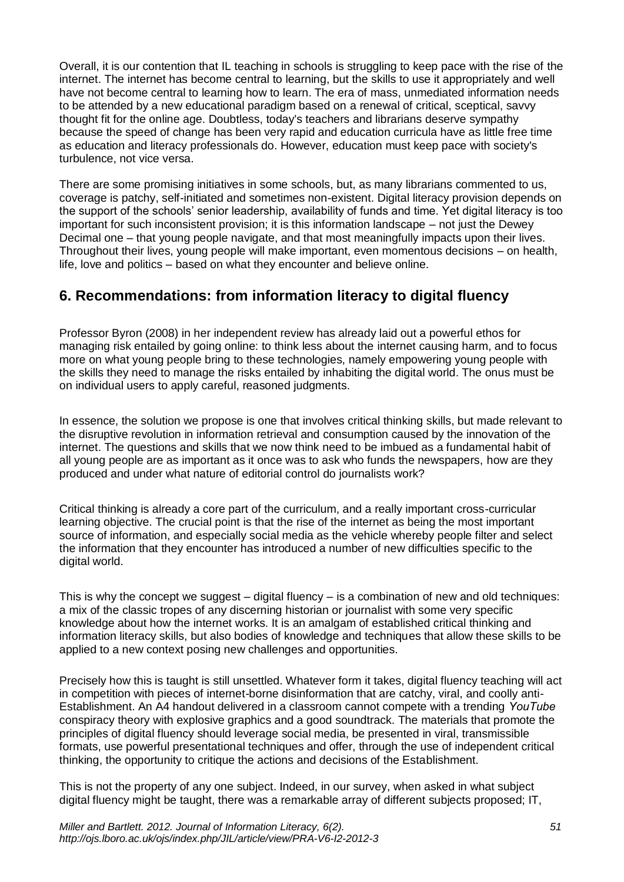Overall, it is our contention that IL teaching in schools is struggling to keep pace with the rise of the internet. The internet has become central to learning, but the skills to use it appropriately and well have not become central to learning how to learn. The era of mass, unmediated information needs to be attended by a new educational paradigm based on a renewal of critical, sceptical, savvy thought fit for the online age. Doubtless, today's teachers and librarians deserve sympathy because the speed of change has been very rapid and education curricula have as little free time as education and literacy professionals do. However, education must keep pace with society's turbulence, not vice versa.

There are some promising initiatives in some schools, but, as many librarians commented to us, coverage is patchy, self-initiated and sometimes non-existent. Digital literacy provision depends on the support of the schools' senior leadership, availability of funds and time. Yet digital literacy is too important for such inconsistent provision; it is this information landscape – not just the Dewey Decimal one – that young people navigate, and that most meaningfully impacts upon their lives. Throughout their lives, young people will make important, even momentous decisions – on health, life, love and politics – based on what they encounter and believe online.

## **6. Recommendations: from information literacy to digital fluency**

Professor Byron (2008) in her independent review has already laid out a powerful ethos for managing risk entailed by going online: to think less about the internet causing harm, and to focus more on what young people bring to these technologies, namely empowering young people with the skills they need to manage the risks entailed by inhabiting the digital world. The onus must be on individual users to apply careful, reasoned judgments.

In essence, the solution we propose is one that involves critical thinking skills, but made relevant to the disruptive revolution in information retrieval and consumption caused by the innovation of the internet. The questions and skills that we now think need to be imbued as a fundamental habit of all young people are as important as it once was to ask who funds the newspapers, how are they produced and under what nature of editorial control do journalists work?

Critical thinking is already a core part of the curriculum, and a really important cross-curricular learning objective. The crucial point is that the rise of the internet as being the most important source of information, and especially social media as the vehicle whereby people filter and select the information that they encounter has introduced a number of new difficulties specific to the digital world.

This is why the concept we suggest  $-$  digital fluency  $-$  is a combination of new and old techniques: a mix of the classic tropes of any discerning historian or journalist with some very specific knowledge about how the internet works. It is an amalgam of established critical thinking and information literacy skills, but also bodies of knowledge and techniques that allow these skills to be applied to a new context posing new challenges and opportunities.

Precisely how this is taught is still unsettled. Whatever form it takes, digital fluency teaching will act in competition with pieces of internet-borne disinformation that are catchy, viral, and coolly anti-Establishment. An A4 handout delivered in a classroom cannot compete with a trending *YouTube* conspiracy theory with explosive graphics and a good soundtrack. The materials that promote the principles of digital fluency should leverage social media, be presented in viral, transmissible formats, use powerful presentational techniques and offer, through the use of independent critical thinking, the opportunity to critique the actions and decisions of the Establishment.

This is not the property of any one subject. Indeed, in our survey, when asked in what subject digital fluency might be taught, there was a remarkable array of different subjects proposed; IT,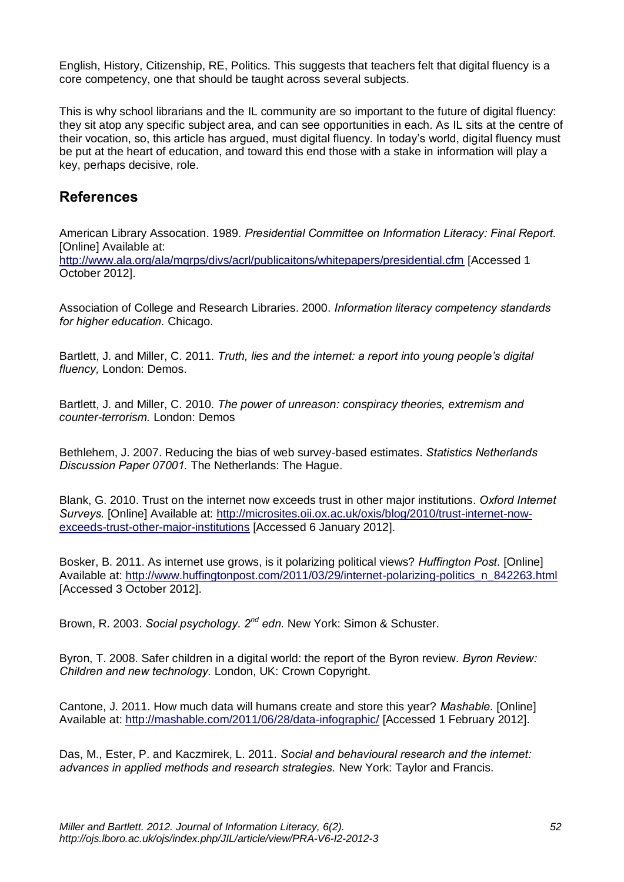English, History, Citizenship, RE, Politics. This suggests that teachers felt that digital fluency is a core competency, one that should be taught across several subjects.

This is why school librarians and the IL community are so important to the future of digital fluency: they sit atop any specific subject area, and can see opportunities in each. As IL sits at the centre of their vocation, so, this article has argued, must digital fluency. In today's world, digital fluency must be put at the heart of education, and toward this end those with a stake in information will play a key, perhaps decisive, role.

# **References**

American Library Assocation. 1989. *Presidential Committee on Information Literacy: Final Report.*  [Online] Available at: <http://www.ala.org/ala/mgrps/divs/acrl/publicaitons/whitepapers/presidential.cfm> [Accessed 1 October 2012].

Association of College and Research Libraries. 2000. *Information literacy competency standards for higher education.* Chicago.

Bartlett, J. and Miller, C. 2011. *Truth, lies and the internet: a report into young people's digital fluency,* London: Demos.

Bartlett, J. and Miller, C. 2010. *The power of unreason: conspiracy theories, extremism and counter-terrorism.* London: Demos

Bethlehem, J. 2007. Reducing the bias of web survey-based estimates. *Statistics Netherlands Discussion Paper 07001.* The Netherlands: The Hague.

Blank, G. 2010. Trust on the internet now exceeds trust in other major institutions. *Oxford Internet Surveys.* [Online] Available at: [http://microsites.oii.ox.ac.uk/oxis/blog/2010/trust-internet-now](http://microsites.oii.ox.ac.uk/oxis/blog/2010/trust-internet-now-exceeds-trust-other-major-institutions)[exceeds-trust-other-major-institutions](http://microsites.oii.ox.ac.uk/oxis/blog/2010/trust-internet-now-exceeds-trust-other-major-institutions) [Accessed 6 January 2012].

Bosker, B. 2011. As internet use grows, is it polarizing political views? *Huffington Post.* [Online] Available at: [http://www.huffingtonpost.com/2011/03/29/internet-polarizing-politics\\_n\\_842263.html](http://www.huffingtonpost.com/2011/03/29/internet-polarizing-politics_n_842263.html) [Accessed 3 October 2012].

Brown, R. 2003. *Social psychology. 2<sup>nd</sup> edn.* New York: Simon & Schuster.

Byron, T. 2008. Safer children in a digital world: the report of the Byron review. *Byron Review: Children and new technology.* London, UK: Crown Copyright.

Cantone, J. 2011. How much data will humans create and store this year? *Mashable.* [Online] Available at:<http://mashable.com/2011/06/28/data-infographic/> [Accessed 1 February 2012].

Das, M., Ester, P. and Kaczmirek, L. 2011. *Social and behavioural research and the internet: advances in applied methods and research strategies.* New York: Taylor and Francis.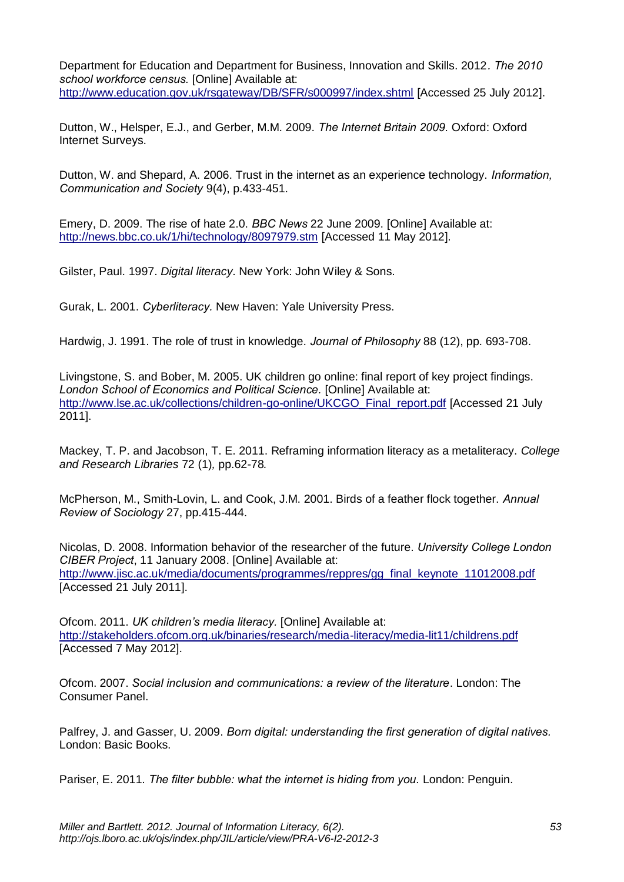Department for Education and Department for Business, Innovation and Skills. 2012*. The 2010 school workforce census.* [Online] Available at: <http://www.education.gov.uk/rsgateway/DB/SFR/s000997/index.shtml> [Accessed 25 July 2012].

Dutton, W., Helsper, E.J., and Gerber, M.M. 2009. *The Internet Britain 2009.* Oxford: Oxford Internet Surveys.

Dutton, W. and Shepard, A. 2006. Trust in the internet as an experience technology. *Information, Communication and Society* 9(4), p.433-451.

Emery, D. 2009. The rise of hate 2.0. *BBC News* 22 June 2009. [Online] Available at: <http://news.bbc.co.uk/1/hi/technology/8097979.stm> [Accessed 11 May 2012].

Gilster, Paul. 1997. *Digital literacy*. New York: John Wiley & Sons.

Gurak, L. 2001. *Cyberliteracy.* New Haven: Yale University Press.

Hardwig, J. 1991. The role of trust in knowledge. *Journal of Philosophy* 88 (12), pp. 693-708.

Livingstone, S. and Bober, M. 2005. UK children go online: final report of key project findings. *London School of Economics and Political Science.* [Online] Available at: [http://www.lse.ac.uk/collections/children-go-online/UKCGO\\_Final\\_report.pdf](http://www.lse.ac.uk/collections/children-go-online/UKCGO_Final_report.pdf) [Accessed 21 July 2011].

Mackey, T. P. and Jacobson, T. E. 2011. Reframing information literacy as a metaliteracy. *College and Research Libraries* 72 (1)*,* pp.62-78*.*

McPherson, M., Smith-Lovin, L. and Cook, J.M. 2001. Birds of a feather flock together. *Annual Review of Sociology* 27, pp.415-444.

Nicolas, D. 2008. Information behavior of the researcher of the future. *University College London CIBER Project*, 11 January 2008. [Online] Available at: [http://www.jisc.ac.uk/media/documents/programmes/reppres/gg\\_final\\_keynote\\_11012008.pdf](http://www.jisc.ac.uk/media/documents/programmes/reppres/gg_final_keynote_11012008.pdf) [Accessed 21 July 2011].

Ofcom. 2011. *UK children's media literacy.* [Online] Available at: <http://stakeholders.ofcom.org.uk/binaries/research/media-literacy/media-lit11/childrens.pdf> [Accessed 7 May 2012].

Ofcom. 2007. *Social inclusion and communications: a review of the literature*. London: The Consumer Panel.

Palfrey, J. and Gasser, U. 2009. *Born digital: understanding the first generation of digital natives.*  London: Basic Books.

Pariser, E. 2011. *The filter bubble: what the internet is hiding from you.* London: Penguin.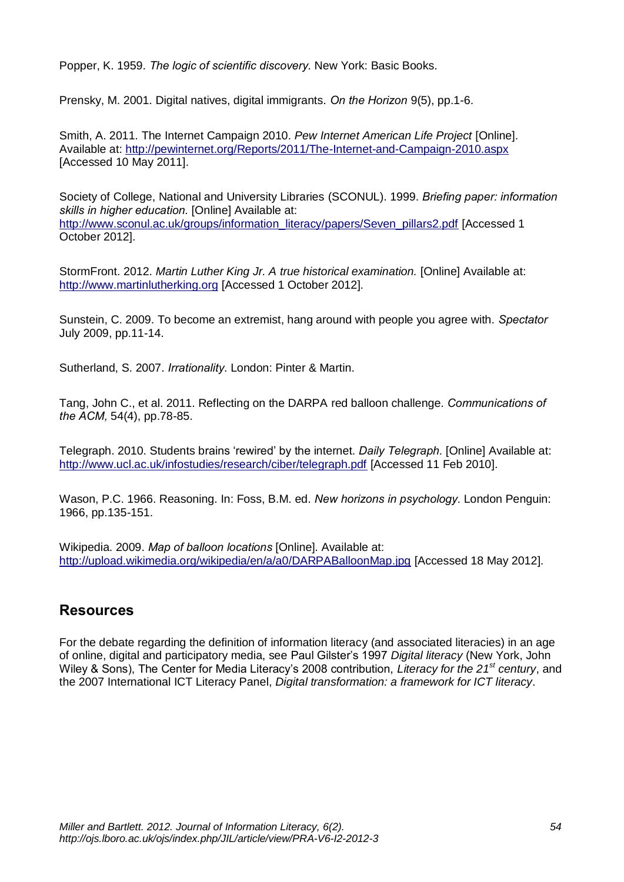Popper, K. 1959. *The logic of scientific discovery.* New York: Basic Books.

Prensky, M. 2001. Digital natives, digital immigrants. *On the Horizon* 9(5), pp.1-6.

Smith, A. 2011. The Internet Campaign 2010*. Pew Internet American Life Project* [Online]. Available at:<http://pewinternet.org/Reports/2011/The-Internet-and-Campaign-2010.aspx> [Accessed 10 May 2011].

Society of College, National and University Libraries (SCONUL). 1999. *Briefing paper: information skills in higher education.* [Online] Available at: [http://www.sconul.ac.uk/groups/information\\_literacy/papers/Seven\\_pillars2.pdf](http://www.sconul.ac.uk/groups/information_literacy/papers/Seven_pillars2.pdf) [Accessed 1 October 2012].

StormFront. 2012. *Martin Luther King Jr. A true historical examination.* [Online] Available at: [http://www.martinlutherking.org](http://www.martinlutherking.org/) [Accessed 1 October 2012].

Sunstein, C. 2009. To become an extremist, hang around with people you agree with. *Spectator*  July 2009, pp.11-14.

Sutherland, S. 2007. *Irrationality*. London: Pinter & Martin.

Tang, John C., et al. 2011. Reflecting on the DARPA red balloon challenge. *Communications of the ACM,* 54(4), pp.78-85.

Telegraph. 2010. Students brains 'rewired' by the internet. *Daily Telegraph.* [Online] Available at: <http://www.ucl.ac.uk/infostudies/research/ciber/telegraph.pdf> [Accessed 11 Feb 2010].

Wason, P.C. 1966. Reasoning. In: Foss, B.M. ed. *New horizons in psychology.* London Penguin: 1966, pp.135-151.

Wikipedia. 2009. *Map of balloon locations* [Online]. Available at: <http://upload.wikimedia.org/wikipedia/en/a/a0/DARPABalloonMap.jpg> [Accessed 18 May 2012].

### **Resources**

For the debate regarding the definition of information literacy (and associated literacies) in an age of online, digital and participatory media, see Paul Gilster's 1997 *Digital literacy* (New York, John Wiley & Sons), The Center for Media Literacy's 2008 contribution, *Literacy for the 21st century*, and the 2007 International ICT Literacy Panel, *Digital transformation: a framework for ICT literacy*.